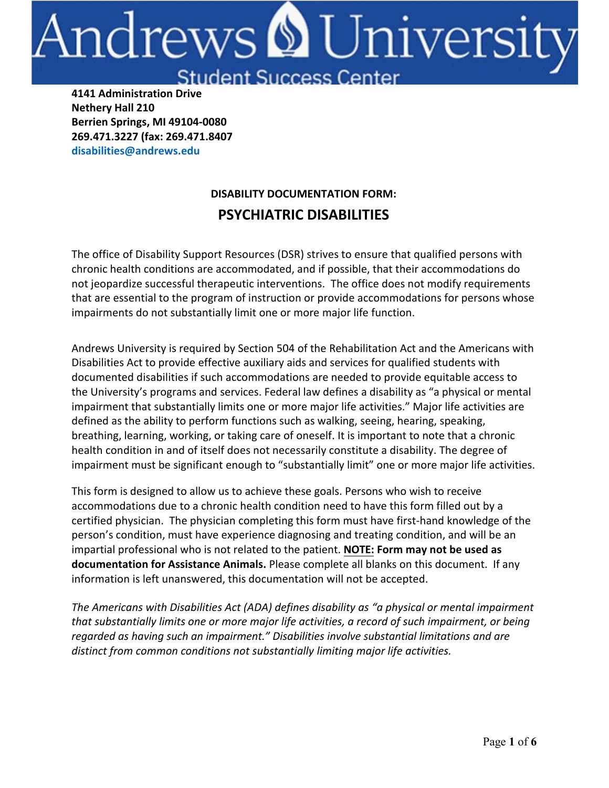# Andrews **&** Universi

**Student Success Center** 

**4141 Administration Drive Nethery Hall 210 Berrien Springs, MI 49104-0080 269.471.3227 (fax: 269.471.8407 disabilities@andrews.edu**

# **DISABILITY DOCUMENTATION FORM: PSYCHIATRIC DISABILITIES**

The office of Disability Support Resources (DSR) strives to ensure that qualified persons with chronic health conditions are accommodated, and if possible, that their accommodations do not jeopardize successful therapeutic interventions. The office does not modify requirements that are essential to the program of instruction or provide accommodations for persons whose impairments do not substantially limit one or more major life function.

Andrews University is required by Section 504 of the Rehabilitation Act and the Americans with Disabilities Act to provide effective auxiliary aids and services for qualified students with documented disabilities if such accommodations are needed to provide equitable access to the University's programs and services. Federal law defines a disability as "a physical or mental impairment that substantially limits one or more major life activities." Major life activities are defined as the ability to perform functions such as walking, seeing, hearing, speaking, breathing, learning, working, or taking care of oneself. It is important to note that a chronic health condition in and of itself does not necessarily constitute a disability. The degree of impairment must be significant enough to "substantially limit" one or more major life activities.

This form is designed to allow us to achieve these goals. Persons who wish to receive accommodations due to a chronic health condition need to have this form filled out by a certified physician. The physician completing this form must have first-hand knowledge of the person's condition, must have experience diagnosing and treating condition, and will be an impartial professional who is not related to the patient. **NOTE: Form may not be used as documentation for Assistance Animals.** Please complete all blanks on this document. If any information is left unanswered, this documentation will not be accepted.

*The Americans with Disabilities Act (ADA) defines disability as "a physical or mental impairment that substantially limits one or more major life activities, a record of such impairment, or being regarded as having such an impairment." Disabilities involve substantial limitations and are distinct from common conditions not substantially limiting major life activities.*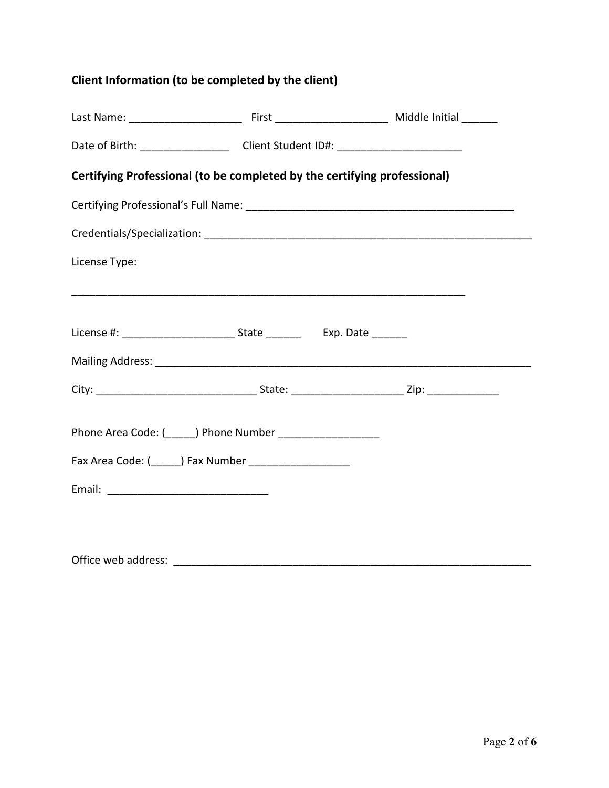## **Client Information (to be completed by the client)**

|  | Fax Area Code: (______) Fax Number _____________________ | Date of Birth: _______________________Client Student ID#: ______________________<br>Certifying Professional (to be completed by the certifying professional) |
|--|----------------------------------------------------------|--------------------------------------------------------------------------------------------------------------------------------------------------------------|

Office web address: \_\_\_\_\_\_\_\_\_\_\_\_\_\_\_\_\_\_\_\_\_\_\_\_\_\_\_\_\_\_\_\_\_\_\_\_\_\_\_\_\_\_\_\_\_\_\_\_\_\_\_\_\_\_\_\_\_\_\_\_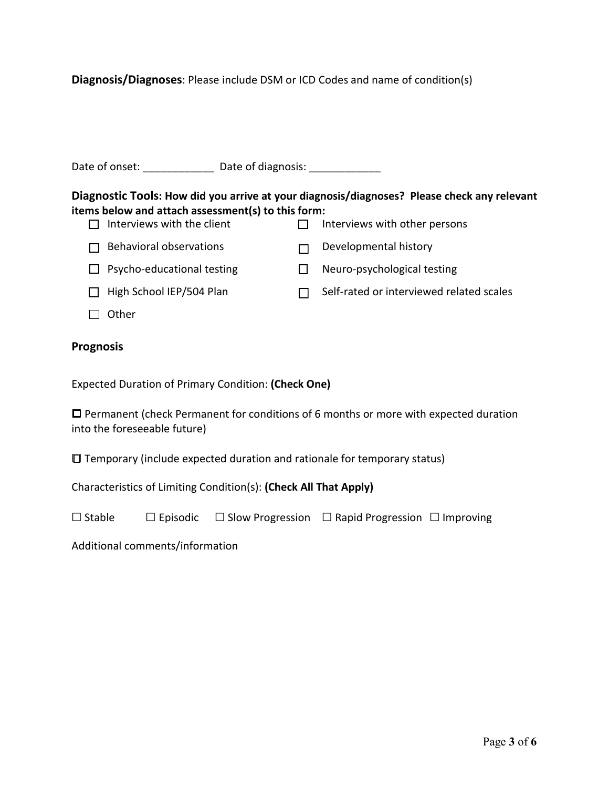**Diagnosis/Diagnoses**: Please include DSM or ICD Codes and name of condition(s)

| Date of onset: | Date of diagnosis: |  |
|----------------|--------------------|--|
|                |                    |  |
|                |                    |  |

#### **Diagnostic Tools: How did you arrive at your diagnosis/diagnoses? Please check any relevant items below and attach assessment(s) to this form:**   $\Pi$  Interviews with other persons

| <u>LE THEFVIEWS WILLI LITE CHEILE</u> | <b>THE VIEWS WILLI OLITEL DELSOITS</b> |
|---------------------------------------|----------------------------------------|
| $\Box$ Behavioral observations        | Developmental history                  |
| $\Box$ Psycho-educational testing     | Neuro-psychological testing            |

- 
- $\Box$  High School IEP/504 Plan  $\Box$  Self-rated or interviewed related scales
- $\Box$  Other

## **Prognosis**

Expected Duration of Primary Condition: **(Check One)**

☐ Permanent (check Permanent for conditions of 6 months or more with expected duration into the foreseeable future)

☐ Temporary (include expected duration and rationale for temporary status)

Characteristics of Limiting Condition(s): **(Check All That Apply)**

| $\Box$ Stable |  |  | $\Box$ Episodic $\Box$ Slow Progression $\Box$ Rapid Progression $\Box$ Improving |  |
|---------------|--|--|-----------------------------------------------------------------------------------|--|
|---------------|--|--|-----------------------------------------------------------------------------------|--|

Additional comments/information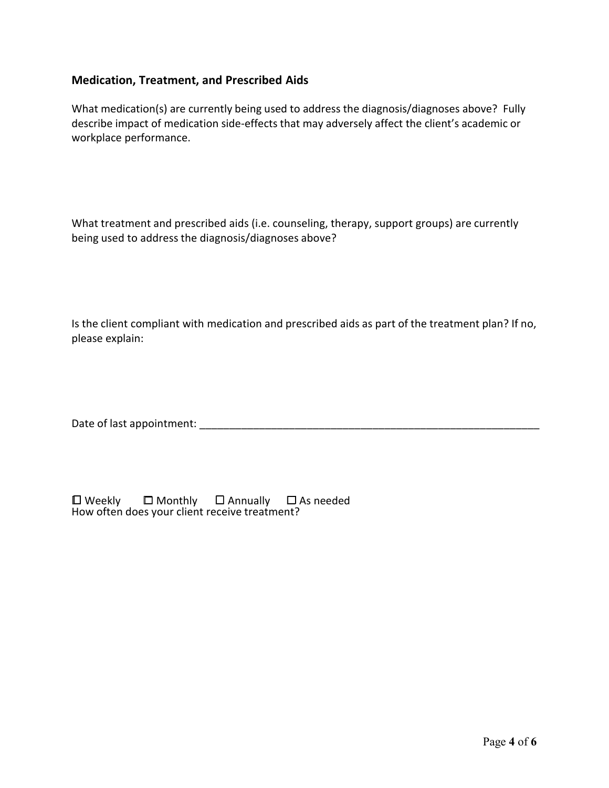### **Medication, Treatment, and Prescribed Aids**

What medication(s) are currently being used to address the diagnosis/diagnoses above? Fully describe impact of medication side-effects that may adversely affect the client's academic or workplace performance.

What treatment and prescribed aids (i.e. counseling, therapy, support groups) are currently being used to address the diagnosis/diagnoses above?

Is the client compliant with medication and prescribed aids as part of the treatment plan? If no, please explain:

Date of last appointment: \_\_\_\_\_\_\_\_\_\_\_\_\_\_\_\_\_\_\_\_\_\_\_\_\_\_\_\_\_\_\_\_\_\_\_\_\_\_\_\_\_\_\_\_\_\_\_\_\_\_\_\_\_\_\_\_\_

| $\square$ Weekly | $\Box$ Monthly                                | $\square$ Annually | $\square$ As needed |
|------------------|-----------------------------------------------|--------------------|---------------------|
|                  | How often does your client receive treatment? |                    |                     |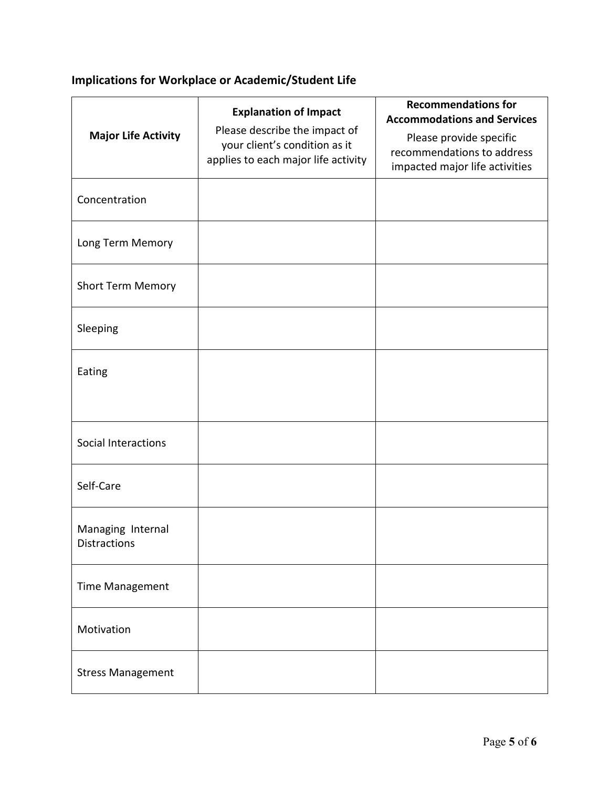## **Implications for Workplace or Academic/Student Life**

| <b>Major Life Activity</b>        | <b>Explanation of Impact</b><br>Please describe the impact of<br>your client's condition as it<br>applies to each major life activity | <b>Recommendations for</b><br><b>Accommodations and Services</b><br>Please provide specific<br>recommendations to address<br>impacted major life activities |
|-----------------------------------|---------------------------------------------------------------------------------------------------------------------------------------|-------------------------------------------------------------------------------------------------------------------------------------------------------------|
| Concentration                     |                                                                                                                                       |                                                                                                                                                             |
| Long Term Memory                  |                                                                                                                                       |                                                                                                                                                             |
| <b>Short Term Memory</b>          |                                                                                                                                       |                                                                                                                                                             |
| Sleeping                          |                                                                                                                                       |                                                                                                                                                             |
| Eating                            |                                                                                                                                       |                                                                                                                                                             |
|                                   |                                                                                                                                       |                                                                                                                                                             |
| Social Interactions               |                                                                                                                                       |                                                                                                                                                             |
| Self-Care                         |                                                                                                                                       |                                                                                                                                                             |
| Managing Internal<br>Distractions |                                                                                                                                       |                                                                                                                                                             |
| <b>Time Management</b>            |                                                                                                                                       |                                                                                                                                                             |
| Motivation                        |                                                                                                                                       |                                                                                                                                                             |
| <b>Stress Management</b>          |                                                                                                                                       |                                                                                                                                                             |